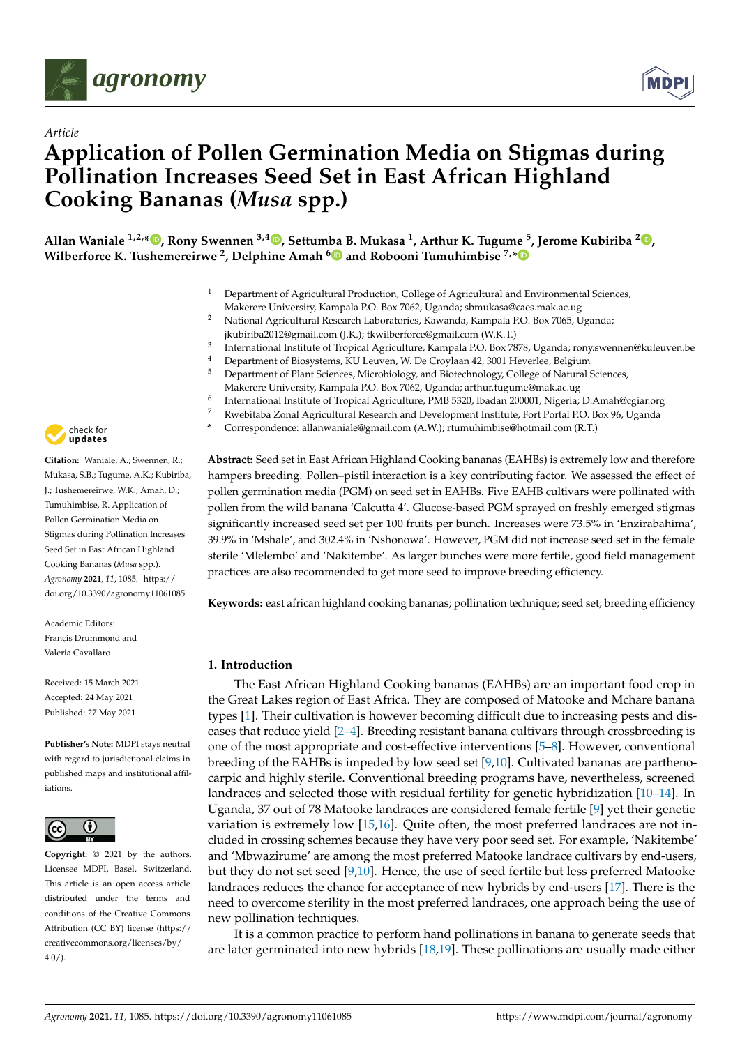

*Article*



# **Application of Pollen Germination Media on Stigmas during Pollination Increases Seed Set in East African Highland Cooking Bananas (***Musa* **spp.)**

**Allan Waniale 1,2,\* [,](https://orcid.org/0000-0002-2870-7820) Rony Swennen 3,4 [,](https://orcid.org/0000-0002-5258-9043) Settumba B. Mukasa <sup>1</sup> , Arthur K. Tugume <sup>5</sup> , Jerome Kubiriba <sup>2</sup> [,](https://orcid.org/0000-0002-5331-3938) Wilberforce K. Tushemereirwe <sup>2</sup> , Delphine Amah [6](https://orcid.org/0000-0002-5706-8773) and Robooni Tumuhimbise 7,[\\*](https://orcid.org/0000-0002-4188-1858)**

- <sup>1</sup> Department of Agricultural Production, College of Agricultural and Environmental Sciences,
- Makerere University, Kampala P.O. Box 7062, Uganda; sbmukasa@caes.mak.ac.ug
- <sup>2</sup> National Agricultural Research Laboratories, Kawanda, Kampala P.O. Box 7065, Uganda; jkubiriba2012@gmail.com (J.K.); tkwilberforce@gmail.com (W.K.T.)
- 3 International Institute of Tropical Agriculture, Kampala P.O. Box 7878, Uganda; rony.swennen@kuleuven.be
- <sup>4</sup> Department of Biosystems, KU Leuven, W. De Croylaan 42, 3001 Heverlee, Belgium<br><sup>5</sup> Department of Plant Sciences, Microbiology and Biotechnology College of Natural <sup>6</sup>
- <sup>5</sup> Department of Plant Sciences, Microbiology, and Biotechnology, College of Natural Sciences, Makerere University, Kampala P.O. Box 7062, Uganda; arthur.tugume@mak.ac.ug
- 6 International Institute of Tropical Agriculture, PMB 5320, Ibadan 200001, Nigeria; D.Amah@cgiar.org
- <sup>7</sup> Rwebitaba Zonal Agricultural Research and Development Institute, Fort Portal P.O. Box 96, Uganda
- **\*** Correspondence: allanwaniale@gmail.com (A.W.); rtumuhimbise@hotmail.com (R.T.)

**Abstract:** Seed set in East African Highland Cooking bananas (EAHBs) is extremely low and therefore hampers breeding. Pollen–pistil interaction is a key contributing factor. We assessed the effect of pollen germination media (PGM) on seed set in EAHBs. Five EAHB cultivars were pollinated with pollen from the wild banana 'Calcutta 4'. Glucose-based PGM sprayed on freshly emerged stigmas significantly increased seed set per 100 fruits per bunch. Increases were 73.5% in 'Enzirabahima', 39.9% in 'Mshale', and 302.4% in 'Nshonowa'. However, PGM did not increase seed set in the female sterile 'Mlelembo' and 'Nakitembe'. As larger bunches were more fertile, good field management practices are also recommended to get more seed to improve breeding efficiency.

**Keywords:** east african highland cooking bananas; pollination technique; seed set; breeding efficiency

# **1. Introduction**

The East African Highland Cooking bananas (EAHBs) are an important food crop in the Great Lakes region of East Africa. They are composed of Matooke and Mchare banana types [\[1\]](#page-7-0). Their cultivation is however becoming difficult due to increasing pests and diseases that reduce yield [\[2–](#page-7-1)[4\]](#page-7-2). Breeding resistant banana cultivars through crossbreeding is one of the most appropriate and cost-effective interventions [\[5–](#page-7-3)[8\]](#page-7-4). However, conventional breeding of the EAHBs is impeded by low seed set [\[9,](#page-7-5)[10\]](#page-7-6). Cultivated bananas are parthenocarpic and highly sterile. Conventional breeding programs have, nevertheless, screened landraces and selected those with residual fertility for genetic hybridization [\[10](#page-7-6)[–14\]](#page-8-0). In Uganda, 37 out of 78 Matooke landraces are considered female fertile [\[9\]](#page-7-5) yet their genetic variation is extremely low [\[15,](#page-8-1)[16\]](#page-8-2). Quite often, the most preferred landraces are not included in crossing schemes because they have very poor seed set. For example, 'Nakitembe' and 'Mbwazirume' are among the most preferred Matooke landrace cultivars by end-users, but they do not set seed [\[9,](#page-7-5)[10\]](#page-7-6). Hence, the use of seed fertile but less preferred Matooke landraces reduces the chance for acceptance of new hybrids by end-users [\[17\]](#page-8-3). There is the need to overcome sterility in the most preferred landraces, one approach being the use of new pollination techniques.

It is a common practice to perform hand pollinations in banana to generate seeds that are later germinated into new hybrids [\[18,](#page-8-4)[19\]](#page-8-5). These pollinations are usually made either



**Citation:** Waniale, A.; Swennen, R.; Mukasa, S.B.; Tugume, A.K.; Kubiriba, J.; Tushemereirwe, W.K.; Amah, D.; Tumuhimbise, R. Application of Pollen Germination Media on Stigmas during Pollination Increases Seed Set in East African Highland Cooking Bananas (*Musa* spp.). *Agronomy* **2021**, *11*, 1085. [https://](https://doi.org/10.3390/agronomy11061085) [doi.org/10.3390/agronomy11061085](https://doi.org/10.3390/agronomy11061085)

Academic Editors: Francis Drummond and Valeria Cavallaro

Received: 15 March 2021 Accepted: 24 May 2021 Published: 27 May 2021

**Publisher's Note:** MDPI stays neutral with regard to jurisdictional claims in published maps and institutional affiliations.



**Copyright:** © 2021 by the authors. Licensee MDPI, Basel, Switzerland. This article is an open access article distributed under the terms and conditions of the Creative Commons Attribution (CC BY) license (https:/[/](https://creativecommons.org/licenses/by/4.0/) [creativecommons.org/licenses/by/](https://creativecommons.org/licenses/by/4.0/) 4.0/).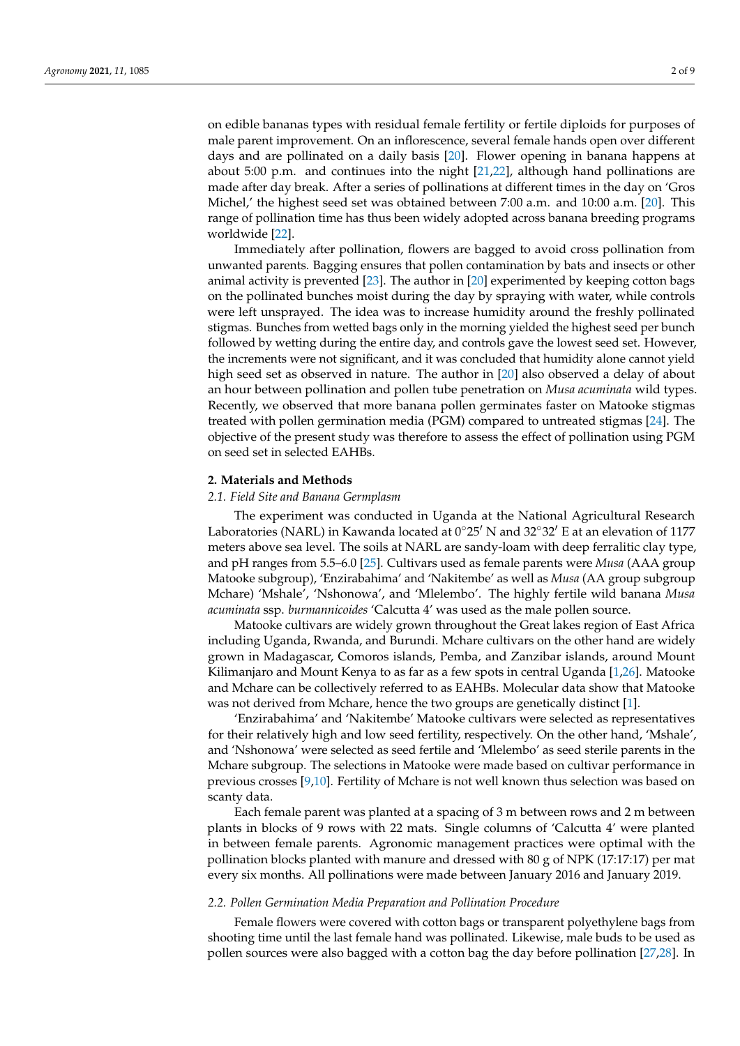on edible bananas types with residual female fertility or fertile diploids for purposes of male parent improvement. On an inflorescence, several female hands open over different days and are pollinated on a daily basis [\[20\]](#page-8-6). Flower opening in banana happens at about 5:00 p.m. and continues into the night [\[21](#page-8-7)[,22\]](#page-8-8), although hand pollinations are made after day break. After a series of pollinations at different times in the day on 'Gros Michel,' the highest seed set was obtained between 7:00 a.m. and 10:00 a.m. [\[20\]](#page-8-6). This range of pollination time has thus been widely adopted across banana breeding programs worldwide [\[22\]](#page-8-8).

Immediately after pollination, flowers are bagged to avoid cross pollination from unwanted parents. Bagging ensures that pollen contamination by bats and insects or other animal activity is prevented [\[23\]](#page-8-9). The author in [\[20\]](#page-8-6) experimented by keeping cotton bags on the pollinated bunches moist during the day by spraying with water, while controls were left unsprayed. The idea was to increase humidity around the freshly pollinated stigmas. Bunches from wetted bags only in the morning yielded the highest seed per bunch followed by wetting during the entire day, and controls gave the lowest seed set. However, the increments were not significant, and it was concluded that humidity alone cannot yield high seed set as observed in nature. The author in [\[20\]](#page-8-6) also observed a delay of about an hour between pollination and pollen tube penetration on *Musa acuminata* wild types. Recently, we observed that more banana pollen germinates faster on Matooke stigmas treated with pollen germination media (PGM) compared to untreated stigmas [\[24\]](#page-8-10). The objective of the present study was therefore to assess the effect of pollination using PGM on seed set in selected EAHBs.

#### **2. Materials and Methods**

### *2.1. Field Site and Banana Germplasm*

The experiment was conducted in Uganda at the National Agricultural Research Laboratories (NARL) in Kawanda located at  $0°25'$  N and  $32°32'$  E at an elevation of 1177 meters above sea level. The soils at NARL are sandy-loam with deep ferralitic clay type, and pH ranges from 5.5–6.0 [\[25\]](#page-8-11). Cultivars used as female parents were *Musa* (AAA group Matooke subgroup), 'Enzirabahima' and 'Nakitembe' as well as *Musa* (AA group subgroup Mchare) 'Mshale', 'Nshonowa', and 'Mlelembo'. The highly fertile wild banana *Musa acuminata* ssp. *burmannicoides* 'Calcutta 4' was used as the male pollen source.

Matooke cultivars are widely grown throughout the Great lakes region of East Africa including Uganda, Rwanda, and Burundi. Mchare cultivars on the other hand are widely grown in Madagascar, Comoros islands, Pemba, and Zanzibar islands, around Mount Kilimanjaro and Mount Kenya to as far as a few spots in central Uganda [\[1,](#page-7-0)[26\]](#page-8-12). Matooke and Mchare can be collectively referred to as EAHBs. Molecular data show that Matooke was not derived from Mchare, hence the two groups are genetically distinct [\[1\]](#page-7-0).

'Enzirabahima' and 'Nakitembe' Matooke cultivars were selected as representatives for their relatively high and low seed fertility, respectively. On the other hand, 'Mshale', and 'Nshonowa' were selected as seed fertile and 'Mlelembo' as seed sterile parents in the Mchare subgroup. The selections in Matooke were made based on cultivar performance in previous crosses [\[9,](#page-7-5)[10\]](#page-7-6). Fertility of Mchare is not well known thus selection was based on scanty data.

Each female parent was planted at a spacing of 3 m between rows and 2 m between plants in blocks of 9 rows with 22 mats. Single columns of 'Calcutta 4' were planted in between female parents. Agronomic management practices were optimal with the pollination blocks planted with manure and dressed with 80 g of NPK (17:17:17) per mat every six months. All pollinations were made between January 2016 and January 2019.

# *2.2. Pollen Germination Media Preparation and Pollination Procedure*

Female flowers were covered with cotton bags or transparent polyethylene bags from shooting time until the last female hand was pollinated. Likewise, male buds to be used as pollen sources were also bagged with a cotton bag the day before pollination [\[27,](#page-8-13)[28\]](#page-8-14). In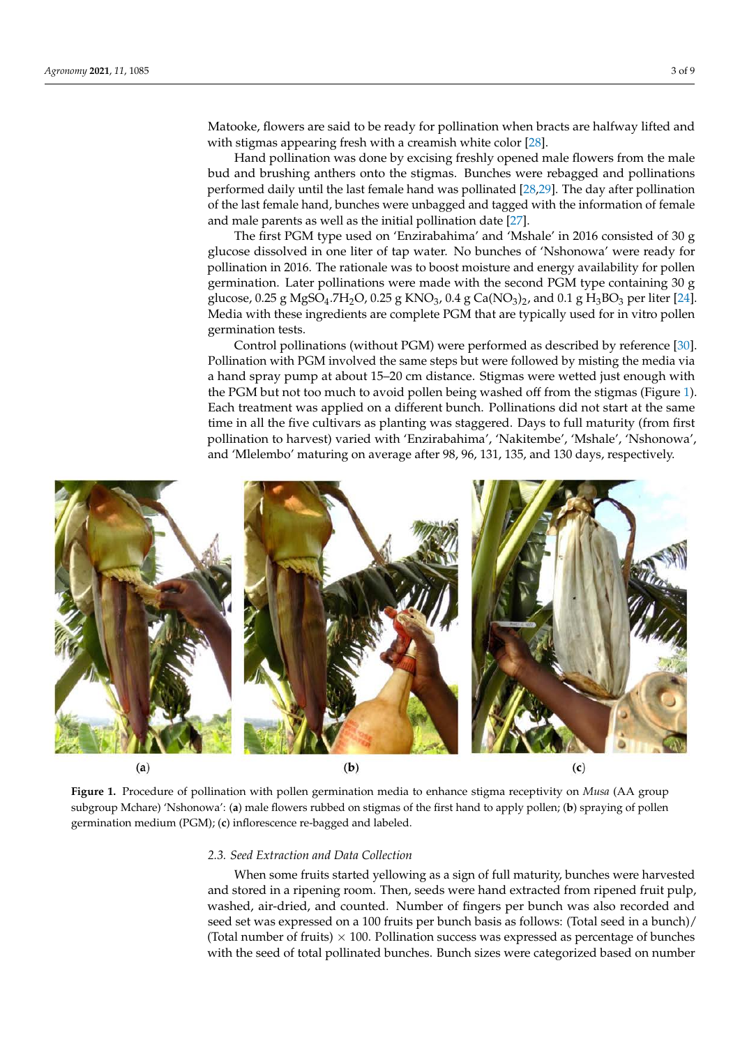Matooke, flowers are said to be ready for pollination when bracts are halfway lifted and with stigmas appearing fresh with a creamish white color [\[28\]](#page-8-14).

Hand pollination was done by excising freshly opened male flowers from the male bud and brushing anthers onto the stigmas. Bunches were rebagged and pollinations performed daily until the last female hand was pollinated [\[28,](#page-8-14)[29\]](#page-8-15). The day after pollination of the last female hand, bunches were unbagged and tagged with the information of female and male parents as well as the initial pollination date [\[27\]](#page-8-13).

The first PGM type used on 'Enzirabahima' and 'Mshale' in 2016 consisted of 30 g glucose dissolved in one liter of tap water. No bunches of 'Nshonowa' were ready for pollination in 2016. The rationale was to boost moisture and energy availability for pollen germination. Later pollinations were made with the second PGM type containing 30 g glucose, 0.25 g MgSO<sub>4</sub>.7H<sub>2</sub>O, 0.25 g KNO<sub>3</sub>, 0.4 g Ca(NO<sub>3</sub>)<sub>2</sub>, and 0.1 g H<sub>3</sub>BO<sub>3</sub> per liter [\[24\]](#page-8-10). Media with these ingredients are complete PGM that are typically used for in vitro pollen germination tests.

Control pollinations (without PGM) were performed as described by reference [\[30\]](#page-8-16). Pollination with PGM involved the same steps but were followed by misting the media via a hand spray pump at about 15–20 cm distance. Stigmas were wetted just enough with the PGM but not too much to avoid pollen being washed off from the stigmas (Figure [1\)](#page-2-0). Each treatment was applied on a different bunch. Pollinations did not start at the same time in all the five cultivars as planting was staggered. Days to full maturity (from first pollination to harvest) varied with 'Enzirabahima', 'Nakitembe', 'Mshale', 'Nshonowa', and 'Mlelembo' maturing on average after 98, 96, 131, 135, and 130 days, respectively.

<span id="page-2-0"></span>

**Figure 1.** Procedure of pollination with pollen germination media to enhance stigma receptivity on *Musa* (AA group subgroup Mchare) 'Nshonowa': (**a**) male flowers rubbed on stigmas of the first hand to apply pollen; (**b**) spraying of pollen germination medium (PGM); (**c**) inflorescence re-bagged and labeled.

### *2.3. Seed Extraction and Data Collection*

When some fruits started yellowing as a sign of full maturity, bunches were harvested and stored in a ripening room. Then, seeds were hand extracted from ripened fruit pulp, washed, air-dried, and counted. Number of fingers per bunch was also recorded and seed set was expressed on a 100 fruits per bunch basis as follows: (Total seed in a bunch)/ (Total number of fruits)  $\times$  100. Pollination success was expressed as percentage of bunches with the seed of total pollinated bunches. Bunch sizes were categorized based on number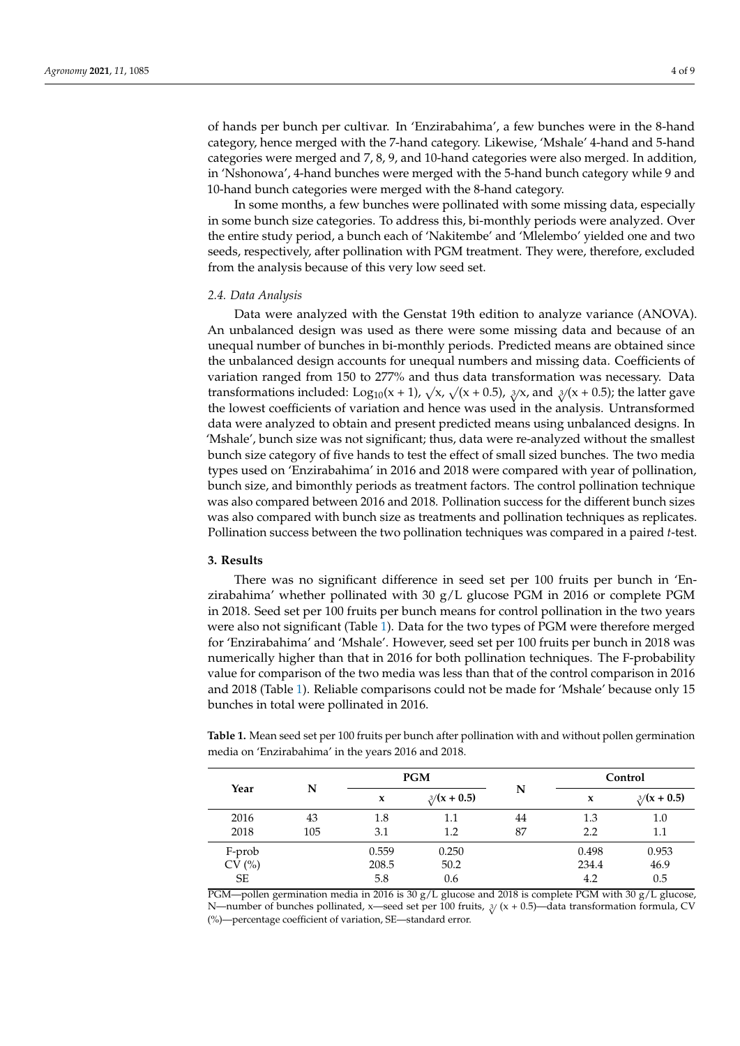of hands per bunch per cultivar. In 'Enzirabahima', a few bunches were in the 8-hand category, hence merged with the 7-hand category. Likewise, 'Mshale' 4-hand and 5-hand categories were merged and 7, 8, 9, and 10-hand categories were also merged. In addition, in 'Nshonowa', 4-hand bunches were merged with the 5-hand bunch category while 9 and 10-hand bunch categories were merged with the 8-hand category.

In some months, a few bunches were pollinated with some missing data, especially in some bunch size categories. To address this, bi-monthly periods were analyzed. Over the entire study period, a bunch each of 'Nakitembe' and 'Mlelembo' yielded one and two seeds, respectively, after pollination with PGM treatment. They were, therefore, excluded from the analysis because of this very low seed set.

#### *2.4. Data Analysis*

Data were analyzed with the Genstat 19th edition to analyze variance (ANOVA). An unbalanced design was used as there were some missing data and because of an unequal number of bunches in bi-monthly periods. Predicted means are obtained since the unbalanced design accounts for unequal numbers and missing data. Coefficients of variation ranged from 150 to 277% and thus data transformation was necessary. Data variation ranged from 150 to 277% and thus data transformation was necessary. Data transformations included: Log<sub>10</sub>(x + 1),  $\sqrt{x}$ ,  $\sqrt{x}$  + 0.5),  $\sqrt[3]{x}$ , and  $\sqrt[3]{x}$  + 0.5); the latter gave the lowest coefficients of variation and hence was used in the analysis. Untransformed data were analyzed to obtain and present predicted means using unbalanced designs. In 'Mshale', bunch size was not significant; thus, data were re-analyzed without the smallest bunch size category of five hands to test the effect of small sized bunches. The two media types used on 'Enzirabahima' in 2016 and 2018 were compared with year of pollination, bunch size, and bimonthly periods as treatment factors. The control pollination technique was also compared between 2016 and 2018. Pollination success for the different bunch sizes was also compared with bunch size as treatments and pollination techniques as replicates. Pollination success between the two pollination techniques was compared in a paired *t*-test.

#### **3. Results**

There was no significant difference in seed set per 100 fruits per bunch in 'Enzirabahima' whether pollinated with 30  $g/L$  glucose PGM in 2016 or complete PGM in 2018. Seed set per 100 fruits per bunch means for control pollination in the two years were also not significant (Table [1\)](#page-3-0). Data for the two types of PGM were therefore merged for 'Enzirabahima' and 'Mshale'. However, seed set per 100 fruits per bunch in 2018 was numerically higher than that in 2016 for both pollination techniques. The F-probability value for comparison of the two media was less than that of the control comparison in 2016 and 2018 (Table [1\)](#page-3-0). Reliable comparisons could not be made for 'Mshale' because only 15 bunches in total were pollinated in 2016.

<span id="page-3-0"></span>**Table 1.** Mean seed set per 100 fruits per bunch after pollination with and without pollen germination media on 'Enzirabahima' in the years 2016 and 2018.

| Year      |     |       | <b>PGM</b>        |    | Control |                     |  |  |
|-----------|-----|-------|-------------------|----|---------|---------------------|--|--|
|           | N   | X     | $\frac{3}{x+0.5}$ | N  | X       | $\frac{3}{x} + 0.5$ |  |  |
| 2016      | 43  | 1.8   | 1.1               | 44 | 1.3     | 1.0                 |  |  |
| 2018      | 105 | 3.1   | 1.2               | 87 | 2.2     | 1.1                 |  |  |
| F-prob    |     | 0.559 | 0.250             |    | 0.498   | 0.953               |  |  |
| CV(%)     |     | 208.5 | 50.2              |    | 234.4   | 46.9                |  |  |
| <b>SE</b> |     | 5.8   | 0.6               |    | 4.2     | 0.5                 |  |  |

PGM—pollen germination media in 2016 is 30 g/L glucose and 2018 is complete PGM with 30 g/L glucose, N—number of bunches pollinated, x—seed set per 100 fruits, <sup>3</sup> <sup>√</sup> (x + 0.5)—data transformation formula, CV (%)—percentage coefficient of variation, SE—standard error.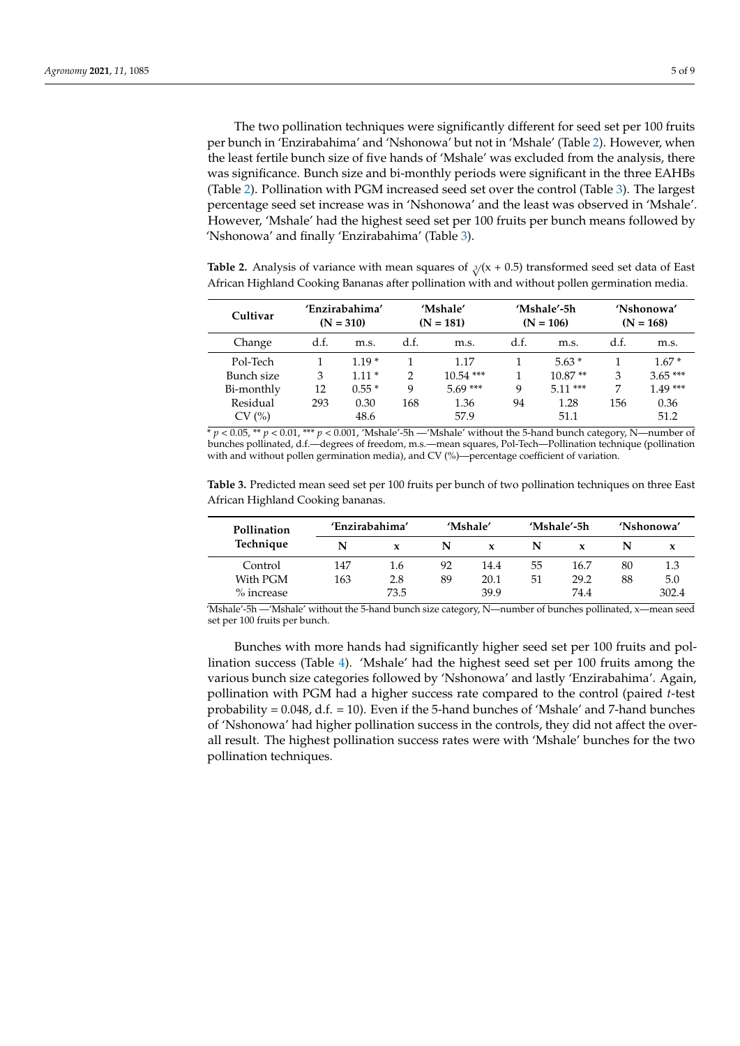The two pollination techniques were significantly different for seed set per 100 fruits per bunch in 'Enzirabahima' and 'Nshonowa' but not in 'Mshale' (Table [2\)](#page-4-0). However, when the least fertile bunch size of five hands of 'Mshale' was excluded from the analysis, there was significance. Bunch size and bi-monthly periods were significant in the three EAHBs (Table [2\)](#page-4-0). Pollination with PGM increased seed set over the control (Table [3\)](#page-4-1). The largest percentage seed set increase was in 'Nshonowa' and the least was observed in 'Mshale'. However, 'Mshale' had the highest seed set per 100 fruits per bunch means followed by 'Nshonowa' and finally 'Enzirabahima' (Table [3\)](#page-4-1).

<span id="page-4-0"></span>**Table 2.** Analysis of variance with mean squares of  $\sqrt[3]{(x + 0.5)}$  transformed seed set data of East African Highland Cooking Bananas after pollination with and without pollen germination media.

| Cultivar   |      | 'Enzirabahima'<br>$(N = 310)$ |               | 'Mshale'<br>$(N = 181)$ |      | 'Mshale'-5h<br>$(N = 106)$ | 'Nshonowa'<br>$(N = 168)$ |           |
|------------|------|-------------------------------|---------------|-------------------------|------|----------------------------|---------------------------|-----------|
| Change     | d.f. | m.s.                          | d.f.          | m.s.                    | d.f. | m.s.                       | d.f.                      | m.s.      |
| Pol-Tech   |      | $1.19*$                       |               | 1.17                    |      | $5.63*$                    |                           | $1.67*$   |
| Bunch size | 3    | $1.11*$                       | $\mathcal{D}$ | $10.54$ ***             |      | $10.87**$                  | 3                         | $3.65***$ |
| Bi-monthly | 12   | $0.55*$                       | q             | $5.69***$               | 9    | $5.11***$                  | 7                         | $1.49***$ |
| Residual   | 293  | 0.30                          | 168           | 1.36                    | 94   | 1.28                       | 156                       | 0.36      |
| CV (%)     |      | 48.6                          |               | 57.9                    |      | 51.1                       |                           | 51.2      |

 $* p < 0.05$ ,  $* p < 0.01$ ,  $** p < 0.001$ , 'Mshale'-5h —'Mshale' without the 5-hand bunch category, N—number of bunches pollinated, d.f.—degrees of freedom, m.s.—mean squares, Pol-Tech—Pollination technique (pollination with and without pollen germination media), and CV (%)—percentage coefficient of variation.

<span id="page-4-1"></span>**Table 3.** Predicted mean seed set per 100 fruits per bunch of two pollination techniques on three East African Highland Cooking bananas.

| Pollination | 'Enzirabahima' |      |    | 'Mshale' |    | 'Mshale'-5h | 'Nshonowa' |       |
|-------------|----------------|------|----|----------|----|-------------|------------|-------|
| Technique   | N              | x    | N  | x        | N  |             |            |       |
| Control     | 147            | 1.6  | 92 | 14.4     | 55 | 16.7        | 80         | 1.3   |
| With PGM    | 163            | 2.8  | 89 | 20.1     | 51 | 29.2        | 88         | 5.0   |
| % increase  |                | 73.5 |    | 39.9     |    | 74.4        |            | 302.4 |

'Mshale'-5h —'Mshale' without the 5-hand bunch size category, N—number of bunches pollinated, x—mean seed set per 100 fruits per bunch.

Bunches with more hands had significantly higher seed set per 100 fruits and pollination success (Table [4\)](#page-5-0). 'Mshale' had the highest seed set per 100 fruits among the various bunch size categories followed by 'Nshonowa' and lastly 'Enzirabahima'. Again, pollination with PGM had a higher success rate compared to the control (paired *t*-test probability =  $0.048$ , d.f. = 10). Even if the 5-hand bunches of 'Mshale' and 7-hand bunches of 'Nshonowa' had higher pollination success in the controls, they did not affect the overall result. The highest pollination success rates were with 'Mshale' bunches for the two pollination techniques.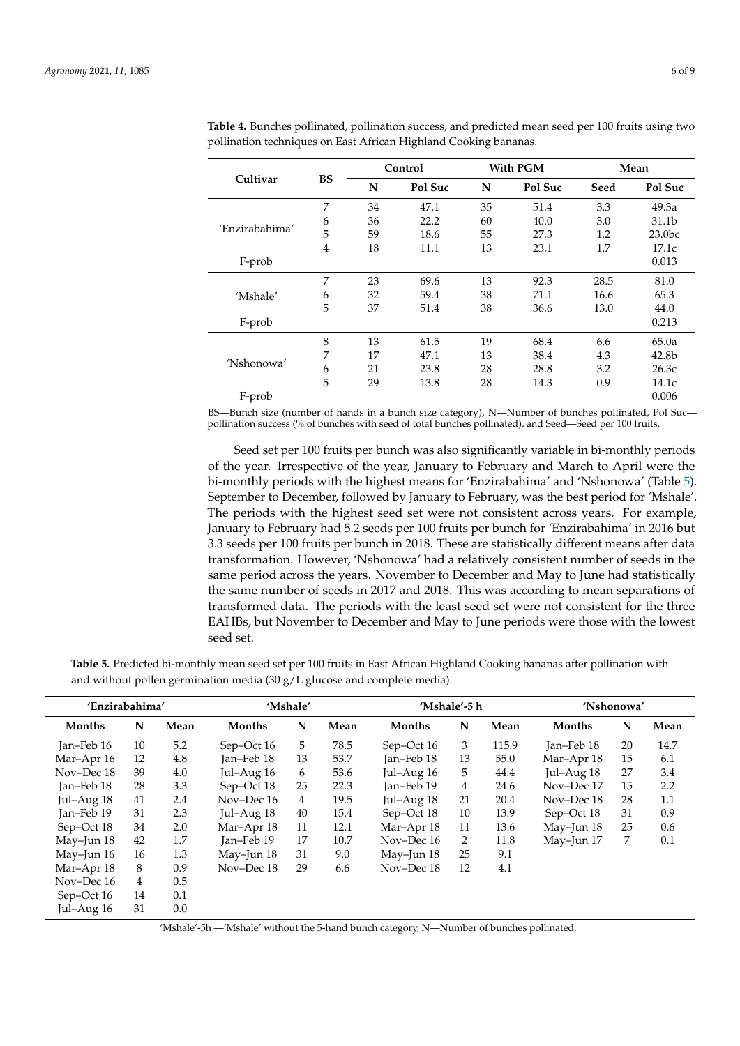|                |                |    | Control |    | With PGM | Mean |                    |  |
|----------------|----------------|----|---------|----|----------|------|--------------------|--|
| Cultivar       | <b>BS</b>      | N  | Pol Suc | N  | Pol Suc  | Seed | Pol Suc            |  |
|                | 7              | 34 | 47.1    | 35 | 51.4     | 3.3  | 49.3a              |  |
|                | 6              | 36 | 22.2    | 60 | 40.0     | 3.0  | 31.1 <sub>b</sub>  |  |
| 'Enzirabahima' | 5              | 59 | 18.6    | 55 | 27.3     | 1.2  | 23.0 <sub>bc</sub> |  |
|                | $\overline{4}$ | 18 | 11.1    | 13 | 23.1     | 1.7  | 17.1c              |  |
| F-prob         |                |    |         |    |          |      | 0.013              |  |
|                | 7              | 23 | 69.6    | 13 | 92.3     | 28.5 | 81.0               |  |
| 'Mshale'       | 6              | 32 | 59.4    | 38 | 71.1     | 16.6 | 65.3               |  |
|                | 5              | 37 | 51.4    | 38 | 36.6     | 13.0 | 44.0               |  |
| F-prob         |                |    |         |    |          |      | 0.213              |  |
|                | 8              | 13 | 61.5    | 19 | 68.4     | 6.6  | 65.0a              |  |
|                | 7              | 17 | 47.1    | 13 | 38.4     | 4.3  | 42.8 <sub>b</sub>  |  |
| 'Nshonowa'     | 6              | 21 | 23.8    | 28 | 28.8     | 3.2  | 26.3c              |  |
|                | 5              | 29 | 13.8    | 28 | 14.3     | 0.9  | 14.1c              |  |
| F-prob         |                |    |         |    |          |      | 0.006              |  |

<span id="page-5-0"></span>**Table 4.** Bunches pollinated, pollination success, and predicted mean seed per 100 fruits using two pollination techniques on East African Highland Cooking bananas.

BS—Bunch size (number of hands in a bunch size category), N—Number of bunches pollinated, Pol Suc pollination success (% of bunches with seed of total bunches pollinated), and Seed—Seed per 100 fruits.

Seed set per 100 fruits per bunch was also significantly variable in bi-monthly periods of the year. Irrespective of the year, January to February and March to April were the bi-monthly periods with the highest means for 'Enzirabahima' and 'Nshonowa' (Table [5\)](#page-5-1). September to December, followed by January to February, was the best period for 'Mshale'. The periods with the highest seed set were not consistent across years. For example, January to February had 5.2 seeds per 100 fruits per bunch for 'Enzirabahima' in 2016 but 3.3 seeds per 100 fruits per bunch in 2018. These are statistically different means after data transformation. However, 'Nshonowa' had a relatively consistent number of seeds in the same period across the years. November to December and May to June had statistically the same number of seeds in 2017 and 2018. This was according to mean separations of transformed data. The periods with the least seed set were not consistent for the three EAHBs, but November to December and May to June periods were those with the lowest seed set.

<span id="page-5-1"></span>**Table 5.** Predicted bi-monthly mean seed set per 100 fruits in East African Highland Cooking bananas after pollination with and without pollen germination media (30 g/L glucose and complete media).

| 'Enzirabahima' |                | 'Mshale' |               |    | 'Mshale'-5 h |              |    | 'Nshonowa' |              |    |      |
|----------------|----------------|----------|---------------|----|--------------|--------------|----|------------|--------------|----|------|
| Months         | N              | Mean     | <b>Months</b> | N  | Mean         | Months       | N  | Mean       | Months       | N  | Mean |
| Jan-Feb 16     | 10             | 5.2      | Sep-Oct 16    | 5  | 78.5         | Sep-Oct 16   | 3  | 115.9      | Jan-Feb 18   | 20 | 14.7 |
| Mar-Apr 16     | 12             | 4.8      | Ian-Feb 18    | 13 | 53.7         | Jan-Feb 18   | 13 | 55.0       | Mar-Apr 18   | 15 | 6.1  |
| Nov-Dec 18     | 39             | 4.0      | Jul-Aug $16$  | 6  | 53.6         | Jul-Aug $16$ | 5  | 44.4       | Jul-Aug $18$ | 27 | 3.4  |
| Jan-Feb 18     | 28             | 3.3      | Sep-Oct 18    | 25 | 22.3         | Jan-Feb 19   | 4  | 24.6       | Nov-Dec 17   | 15 | 2.2  |
| Jul-Aug 18     | 41             | 2.4      | Nov-Dec 16    | 4  | 19.5         | Jul-Aug $18$ | 21 | 20.4       | Nov-Dec 18   | 28 | 1.1  |
| Jan-Feb 19     | 31             | 2.3      | Jul-Aug $18$  | 40 | 15.4         | Sep-Oct 18   | 10 | 13.9       | Sep-Oct 18   | 31 | 0.9  |
| Sep-Oct 18     | 34             | 2.0      | Mar-Apr 18    | 11 | 12.1         | Mar-Apr 18   | 11 | 13.6       | May-Jun 18   | 25 | 0.6  |
| May-Jun 18     | 42             | 1.7      | Jan-Feb 19    | 17 | 10.7         | Nov-Dec 16   | 2  | 11.8       | May-Jun 17   | 7  | 0.1  |
| May-Jun 16     | 16             | 1.3      | May-Jun 18    | 31 | 9.0          | May-Jun 18   | 25 | 9.1        |              |    |      |
| Mar-Apr 18     | 8              | 0.9      | Nov-Dec 18    | 29 | 6.6          | Nov-Dec 18   | 12 | 4.1        |              |    |      |
| Nov-Dec 16     | $\overline{4}$ | 0.5      |               |    |              |              |    |            |              |    |      |
| Sep-Oct 16     | 14             | 0.1      |               |    |              |              |    |            |              |    |      |
| Jul-Aug 16     | 31             | 0.0      |               |    |              |              |    |            |              |    |      |

'Mshale'-5h —'Mshale' without the 5-hand bunch category, N—Number of bunches pollinated.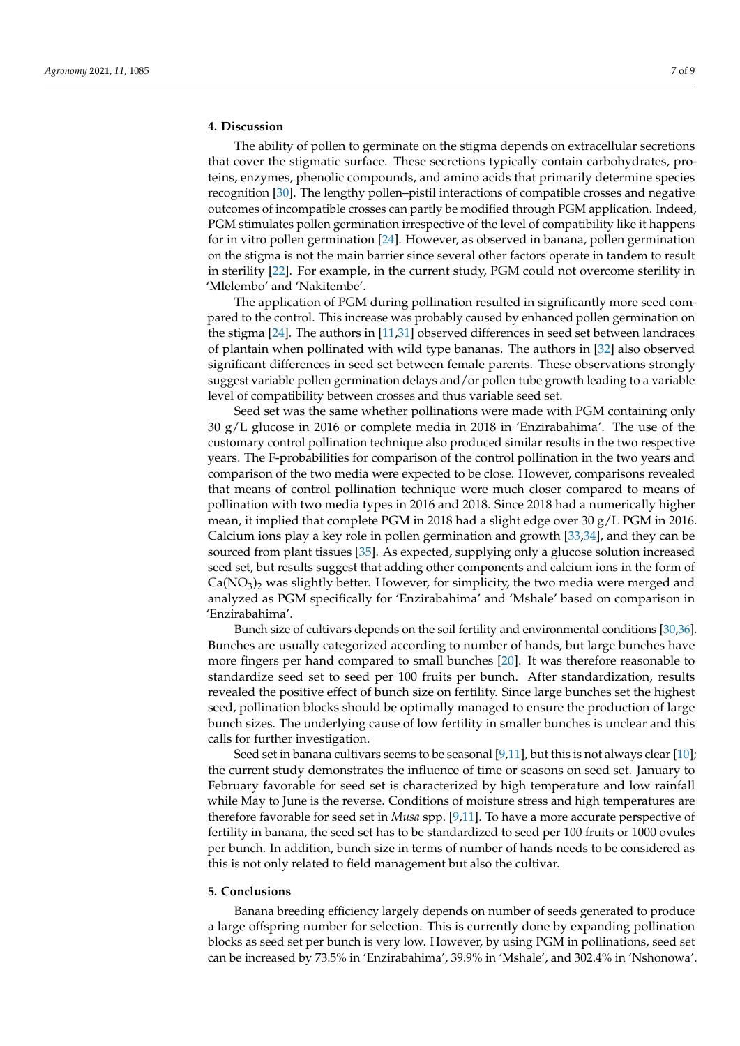# **4. Discussion**

The ability of pollen to germinate on the stigma depends on extracellular secretions that cover the stigmatic surface. These secretions typically contain carbohydrates, proteins, enzymes, phenolic compounds, and amino acids that primarily determine species recognition [\[30\]](#page-8-16). The lengthy pollen–pistil interactions of compatible crosses and negative outcomes of incompatible crosses can partly be modified through PGM application. Indeed, PGM stimulates pollen germination irrespective of the level of compatibility like it happens for in vitro pollen germination [\[24\]](#page-8-10). However, as observed in banana, pollen germination on the stigma is not the main barrier since several other factors operate in tandem to result in sterility [\[22\]](#page-8-8). For example, in the current study, PGM could not overcome sterility in 'Mlelembo' and 'Nakitembe'.

The application of PGM during pollination resulted in significantly more seed compared to the control. This increase was probably caused by enhanced pollen germination on the stigma [\[24\]](#page-8-10). The authors in [\[11,](#page-7-7)[31\]](#page-8-17) observed differences in seed set between landraces of plantain when pollinated with wild type bananas. The authors in [\[32\]](#page-8-18) also observed significant differences in seed set between female parents. These observations strongly suggest variable pollen germination delays and/or pollen tube growth leading to a variable level of compatibility between crosses and thus variable seed set.

Seed set was the same whether pollinations were made with PGM containing only 30 g/L glucose in 2016 or complete media in 2018 in 'Enzirabahima'. The use of the customary control pollination technique also produced similar results in the two respective years. The F-probabilities for comparison of the control pollination in the two years and comparison of the two media were expected to be close. However, comparisons revealed that means of control pollination technique were much closer compared to means of pollination with two media types in 2016 and 2018. Since 2018 had a numerically higher mean, it implied that complete PGM in 2018 had a slight edge over 30  $g/L$  PGM in 2016. Calcium ions play a key role in pollen germination and growth [\[33,](#page-8-19)[34\]](#page-8-20), and they can be sourced from plant tissues [\[35\]](#page-8-21). As expected, supplying only a glucose solution increased seed set, but results suggest that adding other components and calcium ions in the form of  $Ca(NO<sub>3</sub>)<sub>2</sub>$  was slightly better. However, for simplicity, the two media were merged and analyzed as PGM specifically for 'Enzirabahima' and 'Mshale' based on comparison in 'Enzirabahima'.

Bunch size of cultivars depends on the soil fertility and environmental conditions [\[30,](#page-8-16)[36\]](#page-8-22). Bunches are usually categorized according to number of hands, but large bunches have more fingers per hand compared to small bunches [\[20\]](#page-8-6). It was therefore reasonable to standardize seed set to seed per 100 fruits per bunch. After standardization, results revealed the positive effect of bunch size on fertility. Since large bunches set the highest seed, pollination blocks should be optimally managed to ensure the production of large bunch sizes. The underlying cause of low fertility in smaller bunches is unclear and this calls for further investigation.

Seed set in banana cultivars seems to be seasonal  $[9,11]$  $[9,11]$ , but this is not always clear  $[10]$ ; the current study demonstrates the influence of time or seasons on seed set. January to February favorable for seed set is characterized by high temperature and low rainfall while May to June is the reverse. Conditions of moisture stress and high temperatures are therefore favorable for seed set in *Musa* spp. [\[9,](#page-7-5)[11\]](#page-7-7). To have a more accurate perspective of fertility in banana, the seed set has to be standardized to seed per 100 fruits or 1000 ovules per bunch. In addition, bunch size in terms of number of hands needs to be considered as this is not only related to field management but also the cultivar.

# **5. Conclusions**

Banana breeding efficiency largely depends on number of seeds generated to produce a large offspring number for selection. This is currently done by expanding pollination blocks as seed set per bunch is very low. However, by using PGM in pollinations, seed set can be increased by 73.5% in 'Enzirabahima', 39.9% in 'Mshale', and 302.4% in 'Nshonowa'.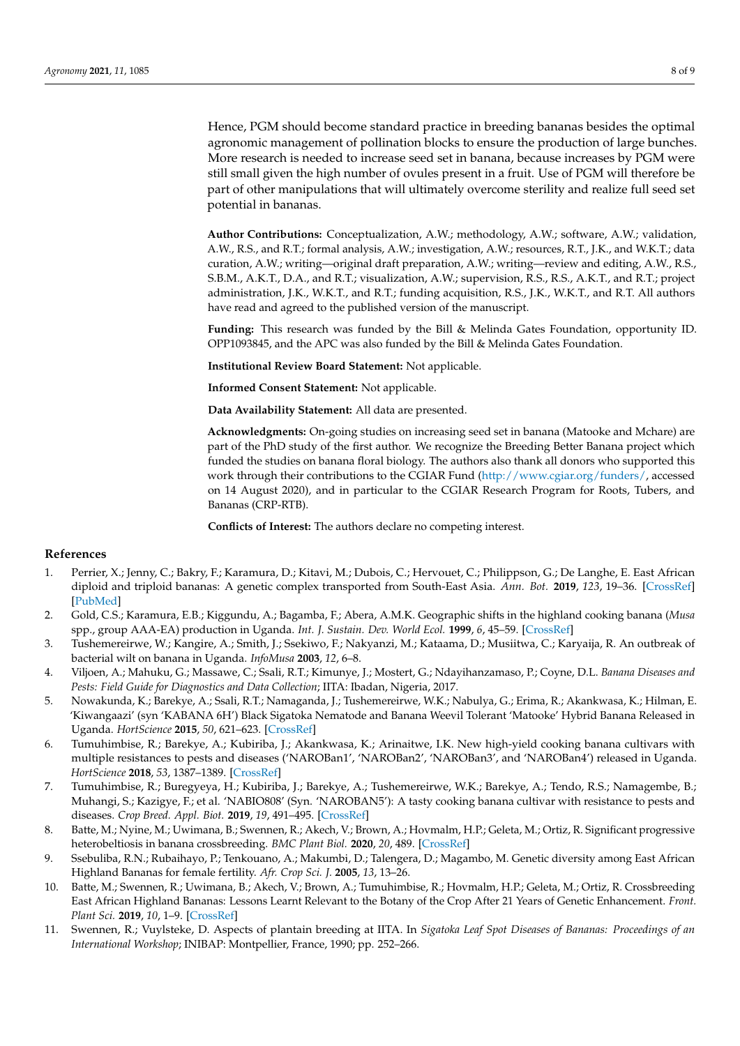Hence, PGM should become standard practice in breeding bananas besides the optimal agronomic management of pollination blocks to ensure the production of large bunches. More research is needed to increase seed set in banana, because increases by PGM were still small given the high number of ovules present in a fruit. Use of PGM will therefore be part of other manipulations that will ultimately overcome sterility and realize full seed set potential in bananas.

**Author Contributions:** Conceptualization, A.W.; methodology, A.W.; software, A.W.; validation, A.W., R.S., and R.T.; formal analysis, A.W.; investigation, A.W.; resources, R.T., J.K., and W.K.T.; data curation, A.W.; writing—original draft preparation, A.W.; writing—review and editing, A.W., R.S., S.B.M., A.K.T., D.A., and R.T.; visualization, A.W.; supervision, R.S., R.S., A.K.T., and R.T.; project administration, J.K., W.K.T., and R.T.; funding acquisition, R.S., J.K., W.K.T., and R.T. All authors have read and agreed to the published version of the manuscript.

**Funding:** This research was funded by the Bill & Melinda Gates Foundation, opportunity ID. OPP1093845, and the APC was also funded by the Bill & Melinda Gates Foundation.

**Institutional Review Board Statement:** Not applicable.

**Informed Consent Statement:** Not applicable.

**Data Availability Statement:** All data are presented.

**Acknowledgments:** On-going studies on increasing seed set in banana (Matooke and Mchare) are part of the PhD study of the first author. We recognize the Breeding Better Banana project which funded the studies on banana floral biology. The authors also thank all donors who supported this work through their contributions to the CGIAR Fund [\(http://www.cgiar.org/funders/,](http://www.cgiar.org/funders/) accessed on 14 August 2020), and in particular to the CGIAR Research Program for Roots, Tubers, and Bananas (CRP-RTB).

**Conflicts of Interest:** The authors declare no competing interest.

# **References**

- <span id="page-7-0"></span>1. Perrier, X.; Jenny, C.; Bakry, F.; Karamura, D.; Kitavi, M.; Dubois, C.; Hervouet, C.; Philippson, G.; De Langhe, E. East African diploid and triploid bananas: A genetic complex transported from South-East Asia. *Ann. Bot.* **2019**, *123*, 19–36. [\[CrossRef\]](http://doi.org/10.1093/aob/mcy156) [\[PubMed\]](http://www.ncbi.nlm.nih.gov/pubmed/30247503)
- <span id="page-7-1"></span>2. Gold, C.S.; Karamura, E.B.; Kiggundu, A.; Bagamba, F.; Abera, A.M.K. Geographic shifts in the highland cooking banana (*Musa* spp., group AAA-EA) production in Uganda. *Int. J. Sustain. Dev. World Ecol.* **1999**, *6*, 45–59. [\[CrossRef\]](http://doi.org/10.1080/13504509.1999.9728471)
- 3. Tushemereirwe, W.; Kangire, A.; Smith, J.; Ssekiwo, F.; Nakyanzi, M.; Kataama, D.; Musiitwa, C.; Karyaija, R. An outbreak of bacterial wilt on banana in Uganda. *InfoMusa* **2003**, *12*, 6–8.
- <span id="page-7-2"></span>4. Viljoen, A.; Mahuku, G.; Massawe, C.; Ssali, R.T.; Kimunye, J.; Mostert, G.; Ndayihanzamaso, P.; Coyne, D.L. *Banana Diseases and Pests: Field Guide for Diagnostics and Data Collection*; IITA: Ibadan, Nigeria, 2017.
- <span id="page-7-3"></span>5. Nowakunda, K.; Barekye, A.; Ssali, R.T.; Namaganda, J.; Tushemereirwe, W.K.; Nabulya, G.; Erima, R.; Akankwasa, K.; Hilman, E. 'Kiwangaazi' (syn 'KABANA 6H') Black Sigatoka Nematode and Banana Weevil Tolerant 'Matooke' Hybrid Banana Released in Uganda. *HortScience* **2015**, *50*, 621–623. [\[CrossRef\]](http://doi.org/10.21273/HORTSCI.50.4.621)
- 6. Tumuhimbise, R.; Barekye, A.; Kubiriba, J.; Akankwasa, K.; Arinaitwe, I.K. New high-yield cooking banana cultivars with multiple resistances to pests and diseases ('NAROBan1', 'NAROBan2', 'NAROBan3', and 'NAROBan4') released in Uganda. *HortScience* **2018**, *53*, 1387–1389. [\[CrossRef\]](http://doi.org/10.21273/HORTSCI13207-18)
- 7. Tumuhimbise, R.; Buregyeya, H.; Kubiriba, J.; Barekye, A.; Tushemereirwe, W.K.; Barekye, A.; Tendo, R.S.; Namagembe, B.; Muhangi, S.; Kazigye, F.; et al. 'NABIO808' (Syn. 'NAROBAN5'): A tasty cooking banana cultivar with resistance to pests and diseases. *Crop Breed. Appl. Biot.* **2019**, *19*, 491–495. [\[CrossRef\]](http://doi.org/10.1590/1984-70332019v19n4c71)
- <span id="page-7-4"></span>8. Batte, M.; Nyine, M.; Uwimana, B.; Swennen, R.; Akech, V.; Brown, A.; Hovmalm, H.P.; Geleta, M.; Ortiz, R. Significant progressive heterobeltiosis in banana crossbreeding. *BMC Plant Biol.* **2020**, *20*, 489. [\[CrossRef\]](http://doi.org/10.1186/s12870-020-02667-y)
- <span id="page-7-5"></span>9. Ssebuliba, R.N.; Rubaihayo, P.; Tenkouano, A.; Makumbi, D.; Talengera, D.; Magambo, M. Genetic diversity among East African Highland Bananas for female fertility. *Afr. Crop Sci. J.* **2005**, *13*, 13–26.
- <span id="page-7-6"></span>10. Batte, M.; Swennen, R.; Uwimana, B.; Akech, V.; Brown, A.; Tumuhimbise, R.; Hovmalm, H.P.; Geleta, M.; Ortiz, R. Crossbreeding East African Highland Bananas: Lessons Learnt Relevant to the Botany of the Crop After 21 Years of Genetic Enhancement. *Front. Plant Sci.* **2019**, *10*, 1–9. [\[CrossRef\]](http://doi.org/10.3389/fpls.2019.00081)
- <span id="page-7-7"></span>11. Swennen, R.; Vuylsteke, D. Aspects of plantain breeding at IITA. In *Sigatoka Leaf Spot Diseases of Bananas: Proceedings of an International Workshop*; INIBAP: Montpellier, France, 1990; pp. 252–266.